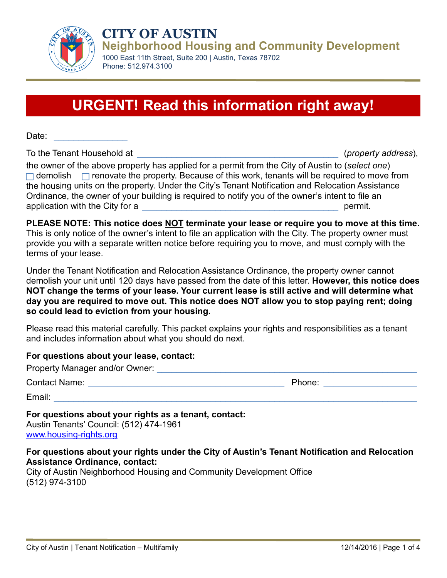

**CITY OF AUSTIN Neighborhood Housing and Community Development**

1000 East 11th Street, Suite 200 | Austin, Texas 78702 Phone: 512.974.3100

# **URGENT! Read this information right away!**

Date:

To the Tenant Household at  $(property address)$ ,

the owner of the above property has applied for a permit from the City of Austin to (*select one*)  $\Box$  demolish  $\Box$  renovate the property. Because of this work, tenants will be required to move from the housing units on the property. Under the City's Tenant Notification and Relocation Assistance Ordinance, the owner of your building is required to notify you of the owner's intent to file an application with the City for a zero and the set of a set of the set of the set of the set of the set of the set of the set of the set of the set of the set of the set of the set of the set of the set of the set of the set

**PLEASE NOTE: This notice does NOT terminate your lease or require you to move at this time.** This is only notice of the owner's intent to file an application with the City. The property owner must provide you with a separate written notice before requiring you to move, and must comply with the terms of your lease.

Under the Tenant Notification and Relocation Assistance Ordinance, the property owner cannot demolish your unit until 120 days have passed from the date of this letter. **However, this notice does NOT change the terms of your lease. Your current lease is still active and will determine what day you are required to move out. This notice does NOT allow you to stop paying rent; doing so could lead to eviction from your housing.**

Please read this material carefully. This packet explains your rights and responsibilities as a tenant and includes information about what you should do next.

#### **For questions about your lease, contact:**

| Property Manager and/or Owner: |        |
|--------------------------------|--------|
| Contact Name:                  | Phone: |
| Email:                         |        |

#### **For questions about your rights as a tenant, contact:**

Austin Tenants' Council: (512) 474-1961 [www.housing-rights.org](http://www.housing-rights.org/)

#### **For questions about your rights under the City of Austin's Tenant Notification and Relocation Assistance Ordinance, contact:**

City of Austin Neighborhood Housing and Community Development Office (512) 974-3100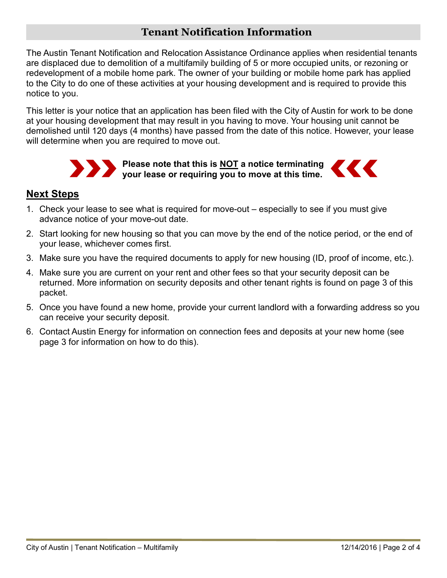## **Tenant Notification Information**

The Austin Tenant Notification and Relocation Assistance Ordinance applies when residential tenants are displaced due to demolition of a multifamily building of 5 or more occupied units, or rezoning or redevelopment of a mobile home park. The owner of your building or mobile home park has applied to the City to do one of these activities at your housing development and is required to provide this notice to you.

This letter is your notice that an application has been filed with the City of Austin for work to be done at your housing development that may result in you having to move. Your housing unit cannot be demolished until 120 days (4 months) have passed from the date of this notice. However, your lease will determine when you are required to move out.



## **Next Steps**

- 1. Check your lease to see what is required for move-out especially to see if you must give advance notice of your move-out date.
- 2. Start looking for new housing so that you can move by the end of the notice period, or the end of your lease, whichever comes first.
- 3. Make sure you have the required documents to apply for new housing (ID, proof of income, etc.).
- 4. Make sure you are current on your rent and other fees so that your security deposit can be returned. More information on security deposits and other tenant rights is found on page 3 of this packet.
- 5. Once you have found a new home, provide your current landlord with a forwarding address so you can receive your security deposit.
- 6. Contact Austin Energy for information on connection fees and deposits at your new home (see page 3 for information on how to do this).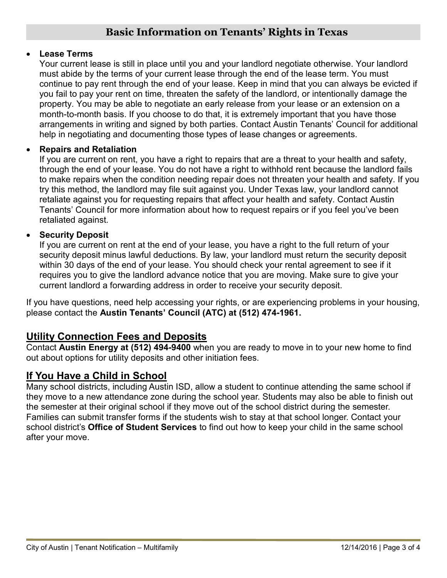#### • **Lease Terms**

Your current lease is still in place until you and your landlord negotiate otherwise. Your landlord must abide by the terms of your current lease through the end of the lease term. You must continue to pay rent through the end of your lease. Keep in mind that you can always be evicted if you fail to pay your rent on time, threaten the safety of the landlord, or intentionally damage the property. You may be able to negotiate an early release from your lease or an extension on a month-to-month basis. If you choose to do that, it is extremely important that you have those arrangements in writing and signed by both parties. Contact Austin Tenants' Council for additional help in negotiating and documenting those types of lease changes or agreements.

#### • **Repairs and Retaliation**

If you are current on rent, you have a right to repairs that are a threat to your health and safety, through the end of your lease. You do not have a right to withhold rent because the landlord fails to make repairs when the condition needing repair does not threaten your health and safety. If you try this method, the landlord may file suit against you. Under Texas law, your landlord cannot retaliate against you for requesting repairs that affect your health and safety. Contact Austin Tenants' Council for more information about how to request repairs or if you feel you've been retaliated against.

#### • **Security Deposit**

If you are current on rent at the end of your lease, you have a right to the full return of your security deposit minus lawful deductions. By law, your landlord must return the security deposit within 30 days of the end of your lease. You should check your rental agreement to see if it requires you to give the landlord advance notice that you are moving. Make sure to give your current landlord a forwarding address in order to receive your security deposit.

If you have questions, need help accessing your rights, or are experiencing problems in your housing, please contact the **Austin Tenants' Council (ATC) at (512) 474-1961.**

# **Utility Connection Fees and Deposits**

Contact **Austin Energy at (512) 494-9400** when you are ready to move in to your new home to find out about options for utility deposits and other initiation fees.

#### **If You Have a Child in School**

Many school districts, including Austin ISD, allow a student to continue attending the same school if they move to a new attendance zone during the school year. Students may also be able to finish out the semester at their original school if they move out of the school district during the semester. Families can submit transfer forms if the students wish to stay at that school longer. Contact your school district's **Office of Student Services** to find out how to keep your child in the same school after your move.